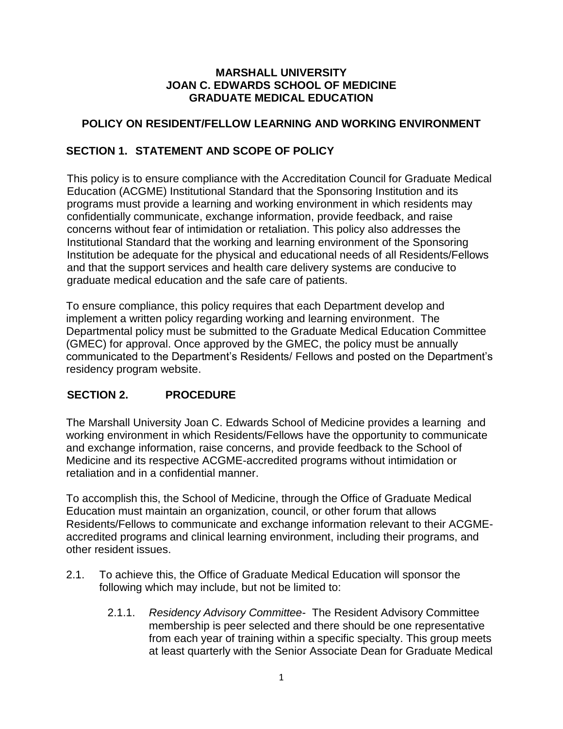#### **MARSHALL UNIVERSITY JOAN C. EDWARDS SCHOOL OF MEDICINE GRADUATE MEDICAL EDUCATION**

### **POLICY ON RESIDENT/FELLOW LEARNING AND WORKING ENVIRONMENT**

## **SECTION 1. STATEMENT AND SCOPE OF POLICY**

This policy is to ensure compliance with the Accreditation Council for Graduate Medical Education (ACGME) Institutional Standard that the Sponsoring Institution and its programs must provide a learning and working environment in which residents may confidentially communicate, exchange information, provide feedback, and raise concerns without fear of intimidation or retaliation. This policy also addresses the Institutional Standard that the working and learning environment of the Sponsoring Institution be adequate for the physical and educational needs of all Residents/Fellows and that the support services and health care delivery systems are conducive to graduate medical education and the safe care of patients.

To ensure compliance, this policy requires that each Department develop and implement a written policy regarding working and learning environment. The Departmental policy must be submitted to the Graduate Medical Education Committee (GMEC) for approval. Once approved by the GMEC, the policy must be annually communicated to the Department's Residents/ Fellows and posted on the Department's residency program website.

# **SECTION 2. PROCEDURE**

The Marshall University Joan C. Edwards School of Medicine provides a learning and working environment in which Residents/Fellows have the opportunity to communicate and exchange information, raise concerns, and provide feedback to the School of Medicine and its respective ACGME-accredited programs without intimidation or retaliation and in a confidential manner.

To accomplish this, the School of Medicine, through the Office of Graduate Medical Education must maintain an organization, council, or other forum that allows Residents/Fellows to communicate and exchange information relevant to their ACGMEaccredited programs and clinical learning environment, including their programs, and other resident issues.

- 2.1. To achieve this, the Office of Graduate Medical Education will sponsor the following which may include, but not be limited to:
	- 2.1.1. *Residency Advisory Committee* The Resident Advisory Committee membership is peer selected and there should be one representative from each year of training within a specific specialty. This group meets at least quarterly with the Senior Associate Dean for Graduate Medical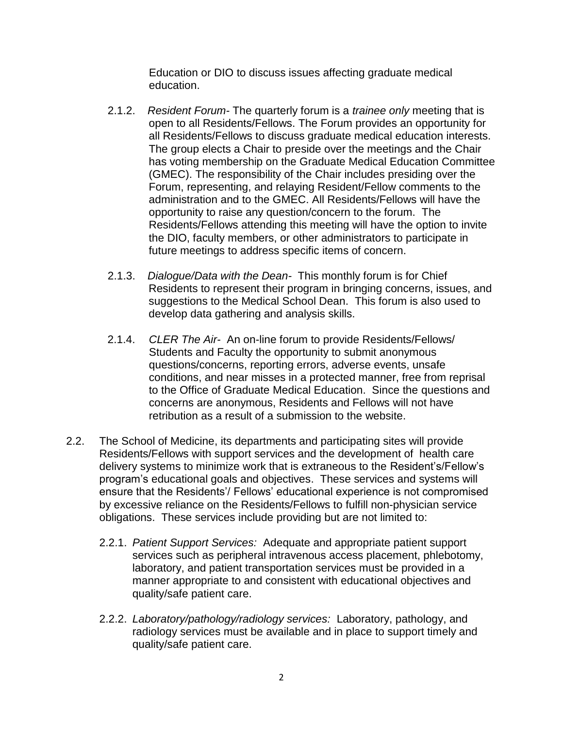Education or DIO to discuss issues affecting graduate medical education.

- 2.1.2. *Resident Forum-* The quarterly forum is a *trainee only* meeting that is open to all Residents/Fellows. The Forum provides an opportunity for all Residents/Fellows to discuss graduate medical education interests. The group elects a Chair to preside over the meetings and the Chair has voting membership on the Graduate Medical Education Committee (GMEC). The responsibility of the Chair includes presiding over the Forum, representing, and relaying Resident/Fellow comments to the administration and to the GMEC. All Residents/Fellows will have the opportunity to raise any question/concern to the forum. The Residents/Fellows attending this meeting will have the option to invite the DIO, faculty members, or other administrators to participate in future meetings to address specific items of concern.
- 2.1.3. *Dialogue/Data with the Dean-* This monthly forum is for Chief Residents to represent their program in bringing concerns, issues, and suggestions to the Medical School Dean. This forum is also used to develop data gathering and analysis skills.
- 2.1.4. *CLER The Air-* An on-line forum to provide Residents/Fellows/ Students and Faculty the opportunity to submit anonymous questions/concerns, reporting errors, adverse events, unsafe conditions, and near misses in a protected manner, free from reprisal to the Office of Graduate Medical Education. Since the questions and concerns are anonymous, Residents and Fellows will not have retribution as a result of a submission to the website.
- 2.2. The School of Medicine, its departments and participating sites will provide Residents/Fellows with support services and the development of health care delivery systems to minimize work that is extraneous to the Resident's/Fellow's program's educational goals and objectives. These services and systems will ensure that the Residents'/ Fellows' educational experience is not compromised by excessive reliance on the Residents/Fellows to fulfill non-physician service obligations. These services include providing but are not limited to:
	- 2.2.1. *Patient Support Services:* Adequate and appropriate patient support services such as peripheral intravenous access placement, phlebotomy, laboratory, and patient transportation services must be provided in a manner appropriate to and consistent with educational objectives and quality/safe patient care.
	- 2.2.2. *Laboratory/pathology/radiology services:* Laboratory, pathology, and radiology services must be available and in place to support timely and quality/safe patient care.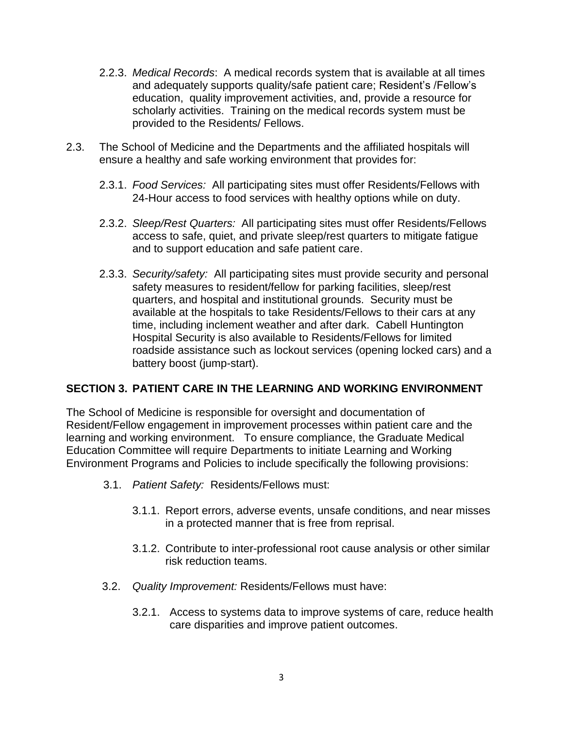- 2.2.3. *Medical Records*: A medical records system that is available at all times and adequately supports quality/safe patient care; Resident's /Fellow's education, quality improvement activities, and, provide a resource for scholarly activities. Training on the medical records system must be provided to the Residents/ Fellows.
- 2.3. The School of Medicine and the Departments and the affiliated hospitals will ensure a healthy and safe working environment that provides for:
	- 2.3.1. *Food Services:* All participating sites must offer Residents/Fellows with 24-Hour access to food services with healthy options while on duty.
	- 2.3.2. *Sleep/Rest Quarters:* All participating sites must offer Residents/Fellows access to safe, quiet, and private sleep/rest quarters to mitigate fatigue and to support education and safe patient care.
	- 2.3.3. *Security/safety:* All participating sites must provide security and personal safety measures to resident/fellow for parking facilities, sleep/rest quarters, and hospital and institutional grounds. Security must be available at the hospitals to take Residents/Fellows to their cars at any time, including inclement weather and after dark. Cabell Huntington Hospital Security is also available to Residents/Fellows for limited roadside assistance such as lockout services (opening locked cars) and a battery boost (jump-start).

### **SECTION 3. PATIENT CARE IN THE LEARNING AND WORKING ENVIRONMENT**

The School of Medicine is responsible for oversight and documentation of Resident/Fellow engagement in improvement processes within patient care and the learning and working environment. To ensure compliance, the Graduate Medical Education Committee will require Departments to initiate Learning and Working Environment Programs and Policies to include specifically the following provisions:

- 3.1. *Patient Safety:* Residents/Fellows must:
	- 3.1.1. Report errors, adverse events, unsafe conditions, and near misses in a protected manner that is free from reprisal.
	- 3.1.2. Contribute to inter-professional root cause analysis or other similar risk reduction teams.
- 3.2. *Quality Improvement:* Residents/Fellows must have:
	- 3.2.1. Access to systems data to improve systems of care, reduce health care disparities and improve patient outcomes.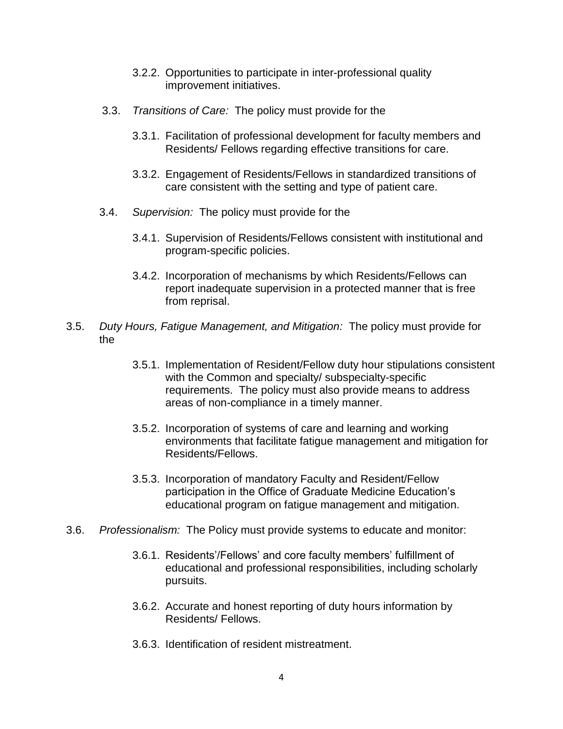- 3.2.2. Opportunities to participate in inter-professional quality improvement initiatives.
- 3.3. *Transitions of Care:* The policy must provide for the
	- 3.3.1. Facilitation of professional development for faculty members and Residents/ Fellows regarding effective transitions for care.
	- 3.3.2. Engagement of Residents/Fellows in standardized transitions of care consistent with the setting and type of patient care.
- 3.4. *Supervision:* The policy must provide for the
	- 3.4.1. Supervision of Residents/Fellows consistent with institutional and program-specific policies.
	- 3.4.2. Incorporation of mechanisms by which Residents/Fellows can report inadequate supervision in a protected manner that is free from reprisal.
- 3.5. *Duty Hours, Fatigue Management, and Mitigation:* The policy must provide for the
	- 3.5.1. Implementation of Resident/Fellow duty hour stipulations consistent with the Common and specialty/ subspecialty-specific requirements. The policy must also provide means to address areas of non-compliance in a timely manner.
	- 3.5.2. Incorporation of systems of care and learning and working environments that facilitate fatigue management and mitigation for Residents/Fellows.
	- 3.5.3. Incorporation of mandatory Faculty and Resident/Fellow participation in the Office of Graduate Medicine Education's educational program on fatigue management and mitigation.
- 3.6. *Professionalism:* The Policy must provide systems to educate and monitor:
	- 3.6.1. Residents'/Fellows' and core faculty members' fulfillment of educational and professional responsibilities, including scholarly pursuits.
	- 3.6.2. Accurate and honest reporting of duty hours information by Residents/ Fellows.
	- 3.6.3. Identification of resident mistreatment.